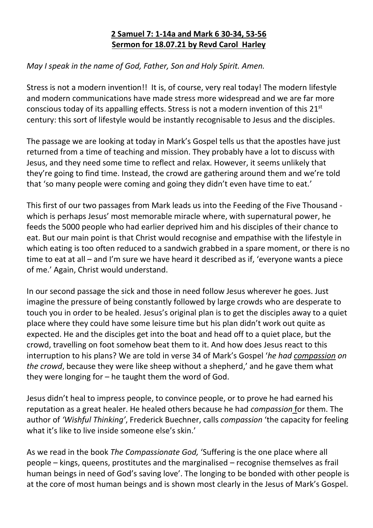## **2 Samuel 7: 1-14a and Mark 6 30-34, 53-56 Sermon for 18.07.21 by Revd Carol Harley**

## *May I speak in the name of God, Father, Son and Holy Spirit. Amen.*

Stress is not a modern invention!! It is, of course, very real today! The modern lifestyle and modern communications have made stress more widespread and we are far more conscious today of its appalling effects. Stress is not a modern invention of this 21<sup>st</sup> century: this sort of lifestyle would be instantly recognisable to Jesus and the disciples.

The passage we are looking at today in Mark's Gospel tells us that the apostles have just returned from a time of teaching and mission. They probably have a lot to discuss with Jesus, and they need some time to reflect and relax. However, it seems unlikely that they're going to find time. Instead, the crowd are gathering around them and we're told that 'so many people were coming and going they didn't even have time to eat.'

This first of our two passages from Mark leads us into the Feeding of the Five Thousand which is perhaps Jesus' most memorable miracle where, with supernatural power, he feeds the 5000 people who had earlier deprived him and his disciples of their chance to eat. But our main point is that Christ would recognise and empathise with the lifestyle in which eating is too often reduced to a sandwich grabbed in a spare moment, or there is no time to eat at all – and I'm sure we have heard it described as if, 'everyone wants a piece of me.' Again, Christ would understand.

In our second passage the sick and those in need follow Jesus wherever he goes. Just imagine the pressure of being constantly followed by large crowds who are desperate to touch you in order to be healed. Jesus's original plan is to get the disciples away to a quiet place where they could have some leisure time but his plan didn't work out quite as expected. He and the disciples get into the boat and head off to a quiet place, but the crowd, travelling on foot somehow beat them to it. And how does Jesus react to this interruption to his plans? We are told in verse 34 of Mark's Gospel '*he had compassion on the crowd*, because they were like sheep without a shepherd,' and he gave them what they were longing for – he taught them the word of God.

Jesus didn't heal to impress people, to convince people, or to prove he had earned his reputation as a great healer. He healed others because he had *compassion* for them. The author of *'Wishful Thinking'*, Frederick Buechner, calls *compassion* 'the capacity for feeling what it's like to live inside someone else's skin.'

As we read in the book *The Compassionate God,* 'Suffering is the one place where all people – kings, queens, prostitutes and the marginalised – recognise themselves as frail human beings in need of God's saving love'. The longing to be bonded with other people is at the core of most human beings and is shown most clearly in the Jesus of Mark's Gospel.